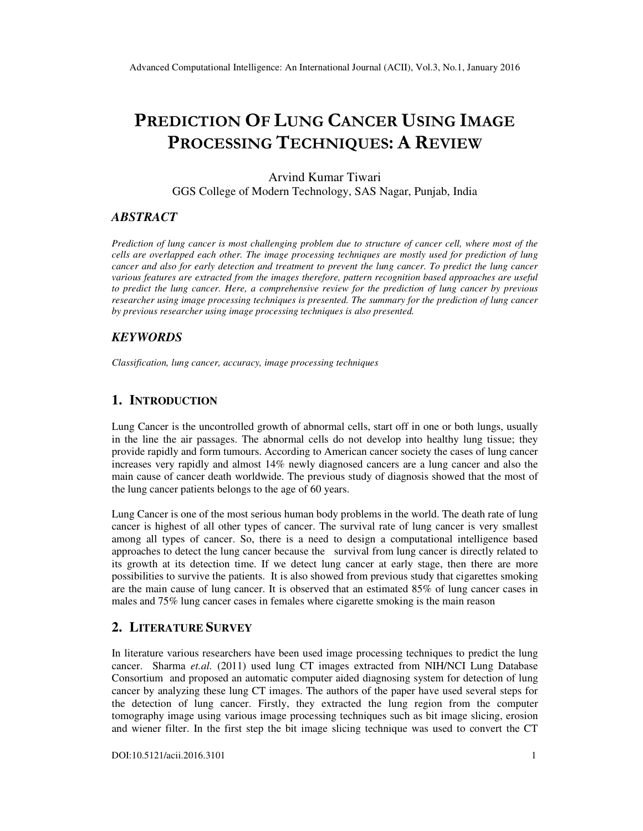# PREDICTION OF LUNG CANCER USING IMAGE PROCESSING TECHNIQUES: A REVIEW

Arvind Kumar Tiwari GGS College of Modern Technology, SAS Nagar, Punjab, India

### *ABSTRACT*

*Prediction of lung cancer is most challenging problem due to structure of cancer cell, where most of the cells are overlapped each other. The image processing techniques are mostly used for prediction of lung cancer and also for early detection and treatment to prevent the lung cancer. To predict the lung cancer various features are extracted from the images therefore, pattern recognition based approaches are useful to predict the lung cancer. Here, a comprehensive review for the prediction of lung cancer by previous researcher using image processing techniques is presented. The summary for the prediction of lung cancer by previous researcher using image processing techniques is also presented.* 

### *KEYWORDS*

*Classification, lung cancer, accuracy, image processing techniques*

## **1. INTRODUCTION**

Lung Cancer is the uncontrolled growth of abnormal cells, start off in one or both lungs, usually in the line the air passages. The abnormal cells do not develop into healthy lung tissue; they provide rapidly and form tumours. According to American cancer society the cases of lung cancer increases very rapidly and almost 14% newly diagnosed cancers are a lung cancer and also the main cause of cancer death worldwide. The previous study of diagnosis showed that the most of the lung cancer patients belongs to the age of 60 years.

Lung Cancer is one of the most serious human body problems in the world. The death rate of lung cancer is highest of all other types of cancer. The survival rate of lung cancer is very smallest among all types of cancer. So, there is a need to design a computational intelligence based approaches to detect the lung cancer because the survival from lung cancer is directly related to its growth at its detection time. If we detect lung cancer at early stage, then there are more possibilities to survive the patients. It is also showed from previous study that cigarettes smoking are the main cause of lung cancer. It is observed that an estimated 85% of lung cancer cases in males and 75% lung cancer cases in females where cigarette smoking is the main reason

### **2. LITERATURE SURVEY**

In literature various researchers have been used image processing techniques to predict the lung cancer. Sharma *et.al.* (2011) used lung CT images extracted from NIH/NCI Lung Database Consortium and proposed an automatic computer aided diagnosing system for detection of lung cancer by analyzing these lung CT images. The authors of the paper have used several steps for the detection of lung cancer. Firstly, they extracted the lung region from the computer tomography image using various image processing techniques such as bit image slicing, erosion and wiener filter. In the first step the bit image slicing technique was used to convert the CT

DOI:10.5121/acii.2016.3101 1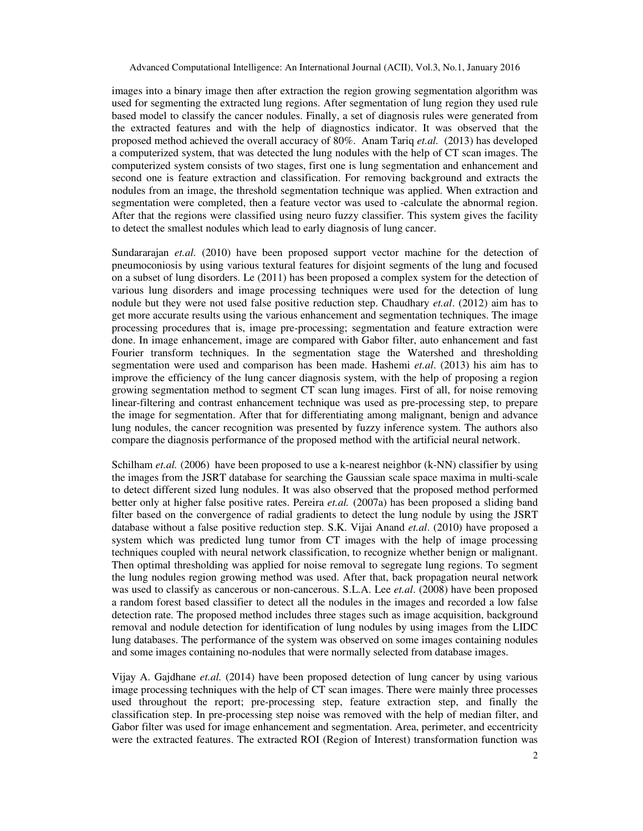images into a binary image then after extraction the region growing segmentation algorithm was used for segmenting the extracted lung regions. After segmentation of lung region they used rule based model to classify the cancer nodules. Finally, a set of diagnosis rules were generated from the extracted features and with the help of diagnostics indicator. It was observed that the proposed method achieved the overall accuracy of 80%. Anam Tariq *et.al.* (2013) has developed a computerized system, that was detected the lung nodules with the help of CT scan images. The computerized system consists of two stages, first one is lung segmentation and enhancement and second one is feature extraction and classification. For removing background and extracts the nodules from an image, the threshold segmentation technique was applied. When extraction and segmentation were completed, then a feature vector was used to -calculate the abnormal region. After that the regions were classified using neuro fuzzy classifier. This system gives the facility to detect the smallest nodules which lead to early diagnosis of lung cancer.

Sundararajan *et.al.* (2010) have been proposed support vector machine for the detection of pneumoconiosis by using various textural features for disjoint segments of the lung and focused on a subset of lung disorders. Le (2011) has been proposed a complex system for the detection of various lung disorders and image processing techniques were used for the detection of lung nodule but they were not used false positive reduction step. Chaudhary *et.al*. (2012) aim has to get more accurate results using the various enhancement and segmentation techniques. The image processing procedures that is, image pre-processing; segmentation and feature extraction were done. In image enhancement, image are compared with Gabor filter, auto enhancement and fast Fourier transform techniques. In the segmentation stage the Watershed and thresholding segmentation were used and comparison has been made. Hashemi *et.al*. (2013) his aim has to improve the efficiency of the lung cancer diagnosis system, with the help of proposing a region growing segmentation method to segment CT scan lung images. First of all, for noise removing linear-filtering and contrast enhancement technique was used as pre-processing step, to prepare the image for segmentation. After that for differentiating among malignant, benign and advance lung nodules, the cancer recognition was presented by fuzzy inference system. The authors also compare the diagnosis performance of the proposed method with the artificial neural network.

Schilham *et.al.* (2006) have been proposed to use a k-nearest neighbor (k-NN) classifier by using the images from the JSRT database for searching the Gaussian scale space maxima in multi-scale to detect different sized lung nodules. It was also observed that the proposed method performed better only at higher false positive rates. Pereira *et.al.* (2007a) has been proposed a sliding band filter based on the convergence of radial gradients to detect the lung nodule by using the JSRT database without a false positive reduction step. S.K. Vijai Anand *et.al*. (2010) have proposed a system which was predicted lung tumor from CT images with the help of image processing techniques coupled with neural network classification, to recognize whether benign or malignant. Then optimal thresholding was applied for noise removal to segregate lung regions. To segment the lung nodules region growing method was used. After that, back propagation neural network was used to classify as cancerous or non-cancerous. S.L.A. Lee *et.al*. (2008) have been proposed a random forest based classifier to detect all the nodules in the images and recorded a low false detection rate. The proposed method includes three stages such as image acquisition, background removal and nodule detection for identification of lung nodules by using images from the LIDC lung databases. The performance of the system was observed on some images containing nodules and some images containing no-nodules that were normally selected from database images.

Vijay A. Gajdhane *et.al.* (2014) have been proposed detection of lung cancer by using various image processing techniques with the help of CT scan images. There were mainly three processes used throughout the report; pre-processing step, feature extraction step, and finally the classification step. In pre-processing step noise was removed with the help of median filter, and Gabor filter was used for image enhancement and segmentation. Area, perimeter, and eccentricity were the extracted features. The extracted ROI (Region of Interest) transformation function was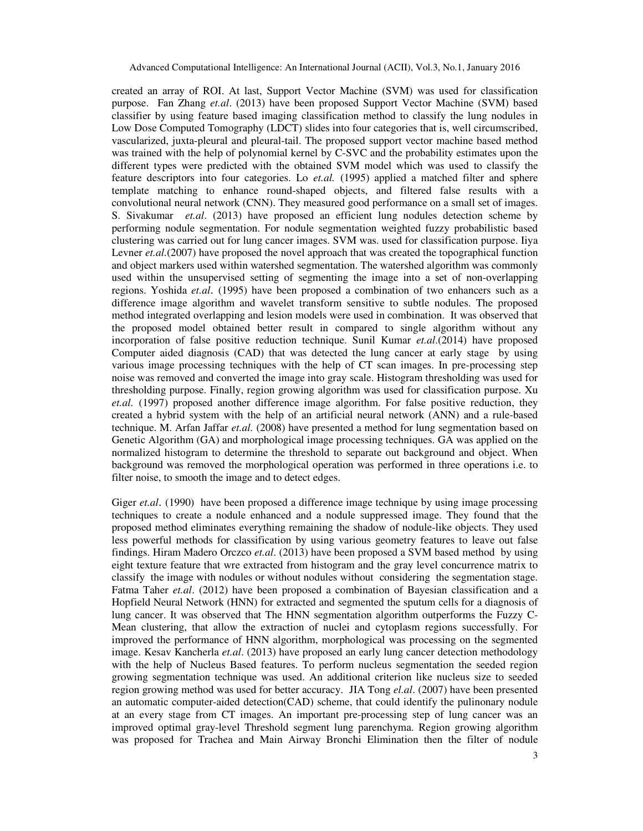created an array of ROI. At last, Support Vector Machine (SVM) was used for classification purpose. Fan Zhang *et.al*. (2013) have been proposed Support Vector Machine (SVM) based classifier by using feature based imaging classification method to classify the lung nodules in Low Dose Computed Tomography (LDCT) slides into four categories that is, well circumscribed, vascularized, juxta-pleural and pleural-tail. The proposed support vector machine based method was trained with the help of polynomial kernel by C-SVC and the probability estimates upon the different types were predicted with the obtained SVM model which was used to classify the feature descriptors into four categories. Lo *et.al.* (1995) applied a matched filter and sphere template matching to enhance round-shaped objects, and filtered false results with a convolutional neural network (CNN). They measured good performance on a small set of images. S. Sivakumar *et.al*. (2013) have proposed an efficient lung nodules detection scheme by performing nodule segmentation. For nodule segmentation weighted fuzzy probabilistic based clustering was carried out for lung cancer images. SVM was. used for classification purpose. Iiya Levner *et.al.*(2007) have proposed the novel approach that was created the topographical function and object markers used within watershed segmentation. The watershed algorithm was commonly used within the unsupervised setting of segmenting the image into a set of non-overlapping regions. Yoshida *et.al*. (1995) have been proposed a combination of two enhancers such as a difference image algorithm and wavelet transform sensitive to subtle nodules. The proposed method integrated overlapping and lesion models were used in combination. It was observed that the proposed model obtained better result in compared to single algorithm without any incorporation of false positive reduction technique. Sunil Kumar *et.al*.(2014) have proposed Computer aided diagnosis (CAD) that was detected the lung cancer at early stage by using various image processing techniques with the help of CT scan images. In pre-processing step noise was removed and converted the image into gray scale. Histogram thresholding was used for thresholding purpose. Finally, region growing algorithm was used for classification purpose. Xu *et.al.* (1997) proposed another difference image algorithm. For false positive reduction, they created a hybrid system with the help of an artificial neural network (ANN) and a rule-based technique. M. Arfan Jaffar *et.al.* (2008) have presented a method for lung segmentation based on Genetic Algorithm (GA) and morphological image processing techniques. GA was applied on the normalized histogram to determine the threshold to separate out background and object. When background was removed the morphological operation was performed in three operations i.e. to filter noise, to smooth the image and to detect edges.

Giger *et.al*. (1990) have been proposed a difference image technique by using image processing techniques to create a nodule enhanced and a nodule suppressed image. They found that the proposed method eliminates everything remaining the shadow of nodule-like objects. They used less powerful methods for classification by using various geometry features to leave out false findings. Hiram Madero Orczco *et.al*. (2013) have been proposed a SVM based method by using eight texture feature that wre extracted from histogram and the gray level concurrence matrix to classify the image with nodules or without nodules without considering the segmentation stage. Fatma Taher *et.al*. (2012) have been proposed a combination of Bayesian classification and a Hopfield Neural Network (HNN) for extracted and segmented the sputum cells for a diagnosis of lung cancer. It was observed that The HNN segmentation algorithm outperforms the Fuzzy C-Mean clustering, that allow the extraction of nuclei and cytoplasm regions successfully. For improved the performance of HNN algorithm, morphological was processing on the segmented image. Kesav Kancherla *et.al*. (2013) have proposed an early lung cancer detection methodology with the help of Nucleus Based features. To perform nucleus segmentation the seeded region growing segmentation technique was used. An additional criterion like nucleus size to seeded region growing method was used for better accuracy. JIA Tong *el.al*. (2007) have been presented an automatic computer-aided detection(CAD) scheme, that could identify the pulinonary nodule at an every stage from CT images. An important pre-processing step of lung cancer was an improved optimal gray-level Threshold segment lung parenchyma. Region growing algorithm was proposed for Trachea and Main Airway Bronchi Elimination then the filter of nodule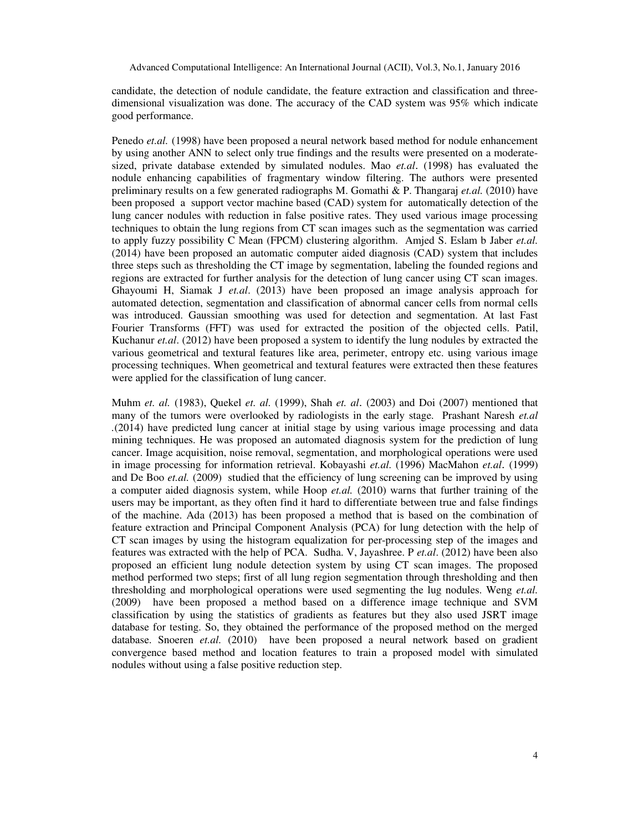candidate, the detection of nodule candidate, the feature extraction and classification and threedimensional visualization was done. The accuracy of the CAD system was 95% which indicate good performance.

Penedo *et.al.* (1998) have been proposed a neural network based method for nodule enhancement by using another ANN to select only true findings and the results were presented on a moderatesized, private database extended by simulated nodules. Mao *et.al*. (1998) has evaluated the nodule enhancing capabilities of fragmentary window filtering. The authors were presented preliminary results on a few generated radiographs M. Gomathi & P. Thangaraj *et.al.* (2010) have been proposed a support vector machine based (CAD) system for automatically detection of the lung cancer nodules with reduction in false positive rates. They used various image processing techniques to obtain the lung regions from CT scan images such as the segmentation was carried to apply fuzzy possibility C Mean (FPCM) clustering algorithm. Amjed S. Eslam b Jaber *et.al.* (2014) have been proposed an automatic computer aided diagnosis (CAD) system that includes three steps such as thresholding the CT image by segmentation, labeling the founded regions and regions are extracted for further analysis for the detection of lung cancer using CT scan images. Ghayoumi H, Siamak J *et.al*. (2013) have been proposed an image analysis approach for automated detection, segmentation and classification of abnormal cancer cells from normal cells was introduced. Gaussian smoothing was used for detection and segmentation. At last Fast Fourier Transforms (FFT) was used for extracted the position of the objected cells. Patil, Kuchanur *et.al*. (2012) have been proposed a system to identify the lung nodules by extracted the various geometrical and textural features like area, perimeter, entropy etc. using various image processing techniques. When geometrical and textural features were extracted then these features were applied for the classification of lung cancer.

Muhm *et. al.* (1983), Quekel *et. al.* (1999), Shah *et. al*. (2003) and Doi (2007) mentioned that many of the tumors were overlooked by radiologists in the early stage. Prashant Naresh *et.al .*(2014) have predicted lung cancer at initial stage by using various image processing and data mining techniques. He was proposed an automated diagnosis system for the prediction of lung cancer. Image acquisition, noise removal, segmentation, and morphological operations were used in image processing for information retrieval. Kobayashi *et.al.* (1996) MacMahon *et.al*. (1999) and De Boo *et.al.* (2009) studied that the efficiency of lung screening can be improved by using a computer aided diagnosis system, while Hoop *et.al.* (2010) warns that further training of the users may be important, as they often find it hard to differentiate between true and false findings of the machine. Ada (2013) has been proposed a method that is based on the combination of feature extraction and Principal Component Analysis (PCA) for lung detection with the help of CT scan images by using the histogram equalization for per-processing step of the images and features was extracted with the help of PCA. Sudha. V, Jayashree. P *et.al*. (2012) have been also proposed an efficient lung nodule detection system by using CT scan images. The proposed method performed two steps; first of all lung region segmentation through thresholding and then thresholding and morphological operations were used segmenting the lug nodules. Weng *et.al.* (2009) have been proposed a method based on a difference image technique and SVM classification by using the statistics of gradients as features but they also used JSRT image database for testing. So, they obtained the performance of the proposed method on the merged database. Snoeren *et.al.* (2010) have been proposed a neural network based on gradient convergence based method and location features to train a proposed model with simulated nodules without using a false positive reduction step.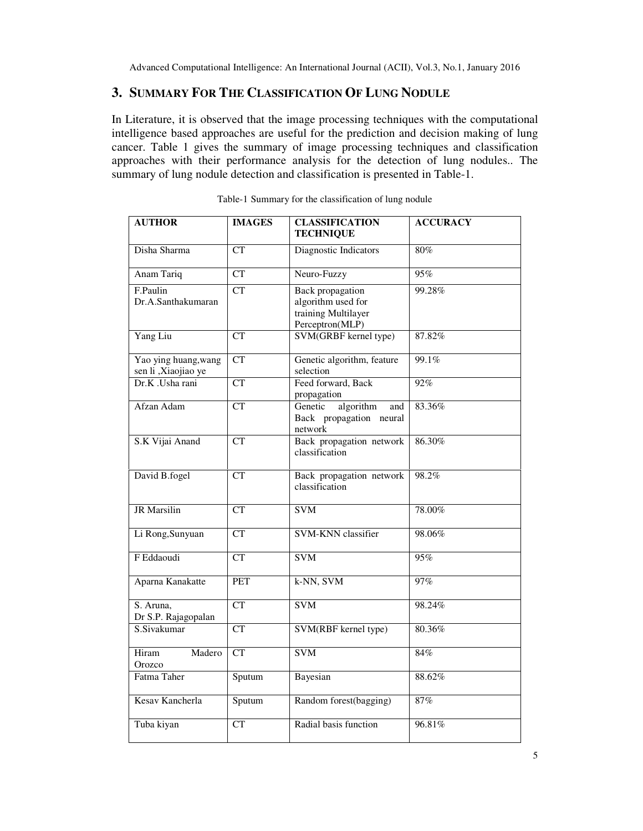## **3. SUMMARY FOR THE CLASSIFICATION OF LUNG NODULE**

In Literature, it is observed that the image processing techniques with the computational intelligence based approaches are useful for the prediction and decision making of lung cancer. Table 1 gives the summary of image processing techniques and classification approaches with their performance analysis for the detection of lung nodules.. The summary of lung nodule detection and classification is presented in Table-1.

| <b>AUTHOR</b>                               | <b>IMAGES</b>          | <b>CLASSIFICATION</b><br><b>TECHNIQUE</b>                                               | <b>ACCURACY</b> |
|---------------------------------------------|------------------------|-----------------------------------------------------------------------------------------|-----------------|
| Disha Sharma                                | $\overline{\text{CT}}$ | Diagnostic Indicators                                                                   | 80%             |
| <b>Anam Tariq</b>                           | CT                     | Neuro-Fuzzy                                                                             | 95%             |
| F.Paulin<br>Dr.A.Santhakumaran              | CT                     | <b>Back</b> propagation<br>algorithm used for<br>training Multilayer<br>Perceptron(MLP) | 99.28%          |
| Yang Liu                                    | <b>CT</b>              | SVM(GRBF kernel type)                                                                   | 87.82%          |
| Yao ying huang, wang<br>sen li ,Xiaojiao ye | <b>CT</b>              | Genetic algorithm, feature<br>selection                                                 | 99.1%           |
| Dr.K .Usha rani                             | <b>CT</b>              | Feed forward, Back<br>propagation                                                       | 92%             |
| Afzan Adam                                  | CT                     | algorithm<br>Genetic<br>and<br>Back propagation neural<br>network                       | 83.36%          |
| S.K Vijai Anand                             | CT                     | Back propagation network<br>classification                                              | 86.30%          |
| David B.fogel                               | $\overline{\text{CT}}$ | Back propagation network<br>classification                                              | 98.2%           |
| <b>JR</b> Marsilin                          | CT                     | <b>SVM</b>                                                                              | 78.00%          |
| Li Rong, Sunyuan                            | <b>CT</b>              | <b>SVM-KNN</b> classifier                                                               | 98.06%          |
| F Eddaoudi                                  | $\overline{\text{CT}}$ | <b>SVM</b>                                                                              | 95%             |
| Aparna Kanakatte                            | PET                    | k-NN, SVM                                                                               | 97%             |
| S. Aruna,<br>Dr S.P. Rajagopalan            | <b>CT</b>              | <b>SVM</b>                                                                              | 98.24%          |
| S.Sivakumar                                 | CT                     | SVM(RBF kernel type)                                                                    | 80.36%          |
| Madero<br>Hiram<br>Orozco                   | CT                     | <b>SVM</b>                                                                              | 84%             |
| Fatma Taher                                 | Sputum                 | Bayesian                                                                                | 88.62%          |
| Kesav Kancherla                             | Sputum                 | Random forest(bagging)                                                                  | 87%             |
| Tuba kiyan                                  | CT                     | Radial basis function                                                                   | 96.81%          |

Table-1 Summary for the classification of lung nodule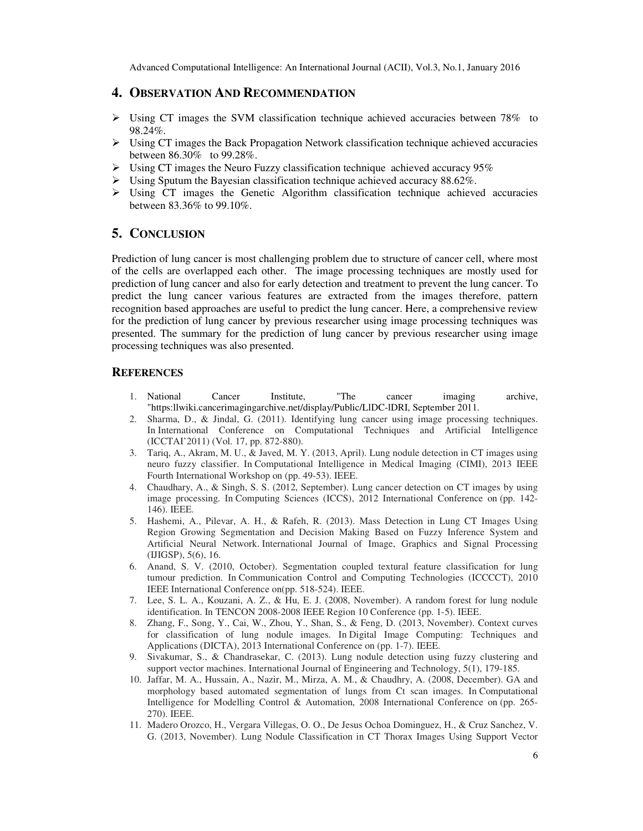## **4. OBSERVATION AND RECOMMENDATION**

- $\triangleright$  Using CT images the SVM classification technique achieved accuracies between 78% to 98.24%.
- $\triangleright$  Using CT images the Back Propagation Network classification technique achieved accuracies between 86.30% to 99.28%.
- $\triangleright$  Using CT images the Neuro Fuzzy classification technique achieved accuracy 95%
- $\triangleright$  Using Sputum the Bayesian classification technique achieved accuracy 88.62%.
- $\triangleright$  Using CT images the Genetic Algorithm classification technique achieved accuracies between 83.36% to 99.10%.

### **5. CONCLUSION**

Prediction of lung cancer is most challenging problem due to structure of cancer cell, where most of the cells are overlapped each other. The image processing techniques are mostly used for prediction of lung cancer and also for early detection and treatment to prevent the lung cancer. To predict the lung cancer various features are extracted from the images therefore, pattern recognition based approaches are useful to predict the lung cancer. Here, a comprehensive review for the prediction of lung cancer by previous researcher using image processing techniques was presented. The summary for the prediction of lung cancer by previous researcher using image processing techniques was also presented.

#### **REFERENCES**

- 1. National Cancer Institute, "The cancer imaging archive, "https:llwiki.cancerimagingarchive.net/display/Public/LlDC-lDRI, September 2011.
- 2. Sharma, D., & Jindal, G. (2011). Identifying lung cancer using image processing techniques. In International Conference on Computational Techniques and Artificial Intelligence (ICCTAI'2011) (Vol. 17, pp. 872-880).
- 3. Tariq, A., Akram, M. U., & Javed, M. Y. (2013, April). Lung nodule detection in CT images using neuro fuzzy classifier. In Computational Intelligence in Medical Imaging (CIMI), 2013 IEEE Fourth International Workshop on (pp. 49-53). IEEE.
- 4. Chaudhary, A., & Singh, S. S. (2012, September). Lung cancer detection on CT images by using image processing. In Computing Sciences (ICCS), 2012 International Conference on (pp. 142- 146). IEEE.
- 5. Hashemi, A., Pilevar, A. H., & Rafeh, R. (2013). Mass Detection in Lung CT Images Using Region Growing Segmentation and Decision Making Based on Fuzzy Inference System and Artificial Neural Network. International Journal of Image, Graphics and Signal Processing (IJIGSP), 5(6), 16.
- 6. Anand, S. V. (2010, October). Segmentation coupled textural feature classification for lung tumour prediction. In Communication Control and Computing Technologies (ICCCCT), 2010 IEEE International Conference on(pp. 518-524). IEEE.
- 7. Lee, S. L. A., Kouzani, A. Z., & Hu, E. J. (2008, November). A random forest for lung nodule identification. In TENCON 2008-2008 IEEE Region 10 Conference (pp. 1-5). IEEE.
- 8. Zhang, F., Song, Y., Cai, W., Zhou, Y., Shan, S., & Feng, D. (2013, November). Context curves for classification of lung nodule images. In Digital Image Computing: Techniques and Applications (DICTA), 2013 International Conference on (pp. 1-7). IEEE.
- 9. Sivakumar, S., & Chandrasekar, C. (2013). Lung nodule detection using fuzzy clustering and support vector machines. International Journal of Engineering and Technology, 5(1), 179-185.
- 10. Jaffar, M. A., Hussain, A., Nazir, M., Mirza, A. M., & Chaudhry, A. (2008, December). GA and morphology based automated segmentation of lungs from Ct scan images. In Computational Intelligence for Modelling Control & Automation, 2008 International Conference on (pp. 265- 270). IEEE.
- 11. Madero Orozco, H., Vergara Villegas, O. O., De Jesus Ochoa Dominguez, H., & Cruz Sanchez, V. G. (2013, November). Lung Nodule Classification in CT Thorax Images Using Support Vector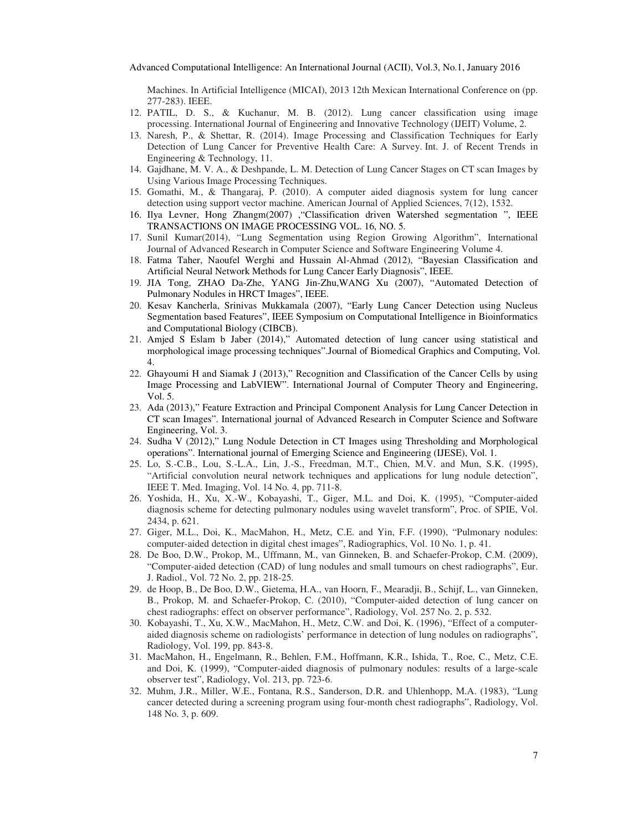Machines. In Artificial Intelligence (MICAI), 2013 12th Mexican International Conference on (pp. 277-283). IEEE.

- 12. PATIL, D. S., & Kuchanur, M. B. (2012). Lung cancer classification using image processing. International Journal of Engineering and Innovative Technology (IJEIT) Volume, 2.
- 13. Naresh, P., & Shettar, R. (2014). Image Processing and Classification Techniques for Early Detection of Lung Cancer for Preventive Health Care: A Survey. Int. J. of Recent Trends in Engineering & Technology, 11.
- 14. Gajdhane, M. V. A., & Deshpande, L. M. Detection of Lung Cancer Stages on CT scan Images by Using Various Image Processing Techniques.
- 15. Gomathi, M., & Thangaraj, P. (2010). A computer aided diagnosis system for lung cancer detection using support vector machine. American Journal of Applied Sciences, 7(12), 1532.
- 16. Ilya Levner, Hong Zhangm(2007) ,"Classification driven Watershed segmentation ", IEEE TRANSACTIONS ON IMAGE PROCESSING VOL. 16, NO. 5.
- 17. Sunil Kumar(2014), "Lung Segmentation using Region Growing Algorithm", International Journal of Advanced Research in Computer Science and Software Engineering Volume 4.
- 18. Fatma Taher, Naoufel Werghi and Hussain Al-Ahmad (2012), "Bayesian Classification and Artificial Neural Network Methods for Lung Cancer Early Diagnosis", IEEE.
- 19. JIA Tong, ZHAO Da-Zhe, YANG Jin-Zhu,WANG Xu (2007), "Automated Detection of Pulmonary Nodules in HRCT Images", IEEE.
- 20. Kesav Kancherla, Srinivas Mukkamala (2007), "Early Lung Cancer Detection using Nucleus Segmentation based Features", IEEE Symposium on Computational Intelligence in Bioinformatics and Computational Biology (CIBCB).
- 21. Amjed S Eslam b Jaber (2014)," Automated detection of lung cancer using statistical and morphological image processing techniques".Journal of Biomedical Graphics and Computing, Vol. 4.
- 22. Ghayoumi H and Siamak J (2013)," Recognition and Classification of the Cancer Cells by using Image Processing and LabVIEW". International Journal of Computer Theory and Engineering, Vol. 5.
- 23. Ada (2013)," Feature Extraction and Principal Component Analysis for Lung Cancer Detection in CT scan Images". International journal of Advanced Research in Computer Science and Software Engineering, Vol. 3.
- 24. Sudha V (2012)," Lung Nodule Detection in CT Images using Thresholding and Morphological operations". International journal of Emerging Science and Engineering (IJESE), Vol. 1.
- 25. Lo, S.-C.B., Lou, S.-L.A., Lin, J.-S., Freedman, M.T., Chien, M.V. and Mun, S.K. (1995), "Artificial convolution neural network techniques and applications for lung nodule detection", IEEE T. Med. Imaging, Vol. 14 No. 4, pp. 711-8.
- 26. Yoshida, H., Xu, X.-W., Kobayashi, T., Giger, M.L. and Doi, K. (1995), "Computer-aided diagnosis scheme for detecting pulmonary nodules using wavelet transform", Proc. of SPIE, Vol. 2434, p. 621.
- 27. Giger, M.L., Doi, K., MacMahon, H., Metz, C.E. and Yin, F.F. (1990), "Pulmonary nodules: computer-aided detection in digital chest images", Radiographics, Vol. 10 No. 1, p. 41.
- 28. De Boo, D.W., Prokop, M., Uffmann, M., van Ginneken, B. and Schaefer-Prokop, C.M. (2009), "Computer-aided detection (CAD) of lung nodules and small tumours on chest radiographs", Eur. J. Radiol., Vol. 72 No. 2, pp. 218-25.
- 29. de Hoop, B., De Boo, D.W., Gietema, H.A., van Hoorn, F., Mearadji, B., Schijf, L., van Ginneken, B., Prokop, M. and Schaefer-Prokop, C. (2010), "Computer-aided detection of lung cancer on chest radiographs: effect on observer performance", Radiology, Vol. 257 No. 2, p. 532.
- 30. Kobayashi, T., Xu, X.W., MacMahon, H., Metz, C.W. and Doi, K. (1996), "Effect of a computeraided diagnosis scheme on radiologists' performance in detection of lung nodules on radiographs", Radiology, Vol. 199, pp. 843-8.
- 31. MacMahon, H., Engelmann, R., Behlen, F.M., Hoffmann, K.R., Ishida, T., Roe, C., Metz, C.E. and Doi, K. (1999), "Computer-aided diagnosis of pulmonary nodules: results of a large-scale observer test", Radiology, Vol. 213, pp. 723-6.
- 32. Muhm, J.R., Miller, W.E., Fontana, R.S., Sanderson, D.R. and Uhlenhopp, M.A. (1983), "Lung cancer detected during a screening program using four-month chest radiographs", Radiology, Vol. 148 No. 3, p. 609.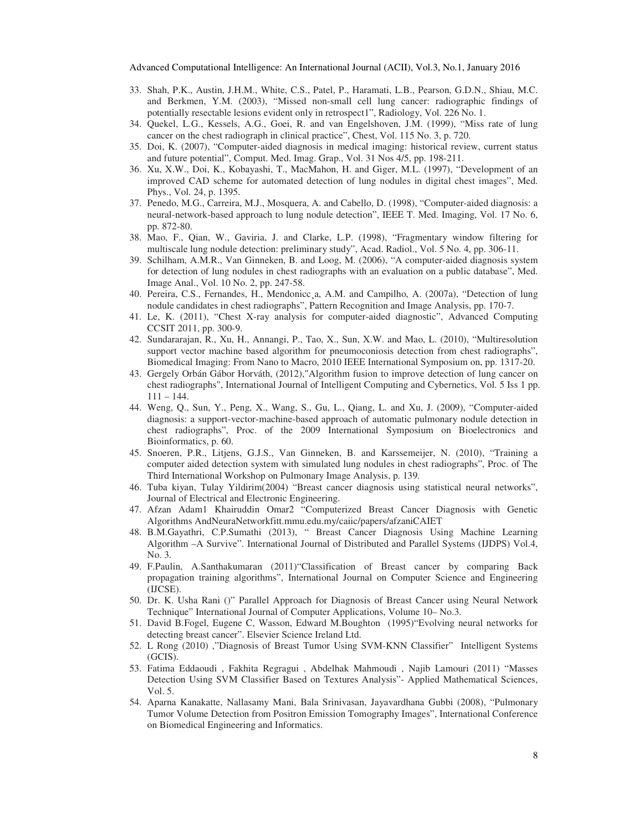- 33. Shah, P.K., Austin, J.H.M., White, C.S., Patel, P., Haramati, L.B., Pearson, G.D.N., Shiau, M.C. and Berkmen, Y.M. (2003), "Missed non-small cell lung cancer: radiographic findings of potentially resectable lesions evident only in retrospect1", Radiology, Vol. 226 No. 1.
- 34. Quekel, L.G., Kessels, A.G., Goei, R. and van Engelshoven, J.M. (1999), "Miss rate of lung cancer on the chest radiograph in clinical practice", Chest, Vol. 115 No. 3, p. 720.
- 35. Doi, K. (2007), "Computer-aided diagnosis in medical imaging: historical review, current status and future potential", Comput. Med. Imag. Grap., Vol. 31 Nos 4/5, pp. 198-211.
- 36. Xu, X.W., Doi, K., Kobayashi, T., MacMahon, H. and Giger, M.L. (1997), "Development of an improved CAD scheme for automated detection of lung nodules in digital chest images", Med. Phys., Vol. 24, p. 1395.
- 37. Penedo, M.G., Carreira, M.J., Mosquera, A. and Cabello, D. (1998), "Computer-aided diagnosis: a neural-network-based approach to lung nodule detection", IEEE T. Med. Imaging, Vol. 17 No. 6, pp. 872-80.
- 38. Mao, F., Qian, W., Gaviria, J. and Clarke, L.P. (1998), "Fragmentary window filtering for multiscale lung nodule detection: preliminary study", Acad. Radiol., Vol. 5 No. 4, pp. 306-11.
- 39. Schilham, A.M.R., Van Ginneken, B. and Loog, M. (2006), "A computer-aided diagnosis system for detection of lung nodules in chest radiographs with an evaluation on a public database", Med. Image Anal., Vol. 10 No. 2, pp. 247-58.
- 40. Pereira, C.S., Fernandes, H., Mendonicc, a, A.M. and Campilho, A. (2007a), "Detection of lung nodule candidates in chest radiographs", Pattern Recognition and Image Analysis, pp. 170-7.
- 41. Le, K. (2011), "Chest X-ray analysis for computer-aided diagnostic", Advanced Computing CCSIT 2011, pp. 300-9.
- 42. Sundararajan, R., Xu, H., Annangi, P., Tao, X., Sun, X.W. and Mao, L. (2010), "Multiresolution support vector machine based algorithm for pneumoconiosis detection from chest radiographs", Biomedical Imaging: From Nano to Macro, 2010 IEEE International Symposium on, pp. 1317-20.
- 43. Gergely Orbán Gábor Horváth, (2012),"Algorithm fusion to improve detection of lung cancer on chest radiographs", International Journal of Intelligent Computing and Cybernetics, Vol. 5 Iss 1 pp. 111 – 144.
- 44. Weng, Q., Sun, Y., Peng, X., Wang, S., Gu, L., Qiang, L. and Xu, J. (2009), "Computer-aided diagnosis: a support-vector-machine-based approach of automatic pulmonary nodule detection in chest radiographs", Proc. of the 2009 International Symposium on Bioelectronics and Bioinformatics, p. 60.
- 45. Snoeren, P.R., Litjens, G.J.S., Van Ginneken, B. and Karssemeijer, N. (2010), "Training a computer aided detection system with simulated lung nodules in chest radiographs", Proc. of The Third International Workshop on Pulmonary Image Analysis, p. 139.
- 46. Tuba kiyan, Tulay Yildirim(2004) "Breast cancer diagnosis using statistical neural networks", Journal of Electrical and Electronic Engineering.
- 47. Afzan Adam1 Khairuddin Omar2 "Computerized Breast Cancer Diagnosis with Genetic Algorithms AndNeuraNetworkfitt.mmu.edu.my/caiic/papers/afzaniCAIET
- 48. B.M.Gayathri, C.P.Sumathi (2013), " Breast Cancer Diagnosis Using Machine Learning Algorithm –A Survive". International Journal of Distributed and Parallel Systems (IJDPS) Vol.4, No. 3.
- 49. F.Paulin, A.Santhakumaran (2011)"Classification of Breast cancer by comparing Back propagation training algorithms", International Journal on Computer Science and Engineering (IJCSE).
- 50. Dr. K. Usha Rani ()" Parallel Approach for Diagnosis of Breast Cancer using Neural Network Technique" International Journal of Computer Applications, Volume 10– No.3.
- 51. David B.Fogel, Eugene C, Wasson, Edward M.Boughton (1995)"Evolving neural networks for detecting breast cancer". Elsevier Science Ireland Ltd.
- 52. L Rong (2010) ,"Diagnosis of Breast Tumor Using SVM-KNN Classifier" Intelligent Systems (GCIS).
- 53. Fatima Eddaoudi , Fakhita Regragui , Abdelhak Mahmoudi , Najib Lamouri (2011) "Masses Detection Using SVM Classifier Based on Textures Analysis"- Applied Mathematical Sciences, Vol. 5.
- 54. Aparna Kanakatte, Nallasamy Mani, Bala Srinivasan, Jayavardhana Gubbi (2008), "Pulmonary Tumor Volume Detection from Positron Emission Tomography Images", International Conference on Biomedical Engineering and Informatics.